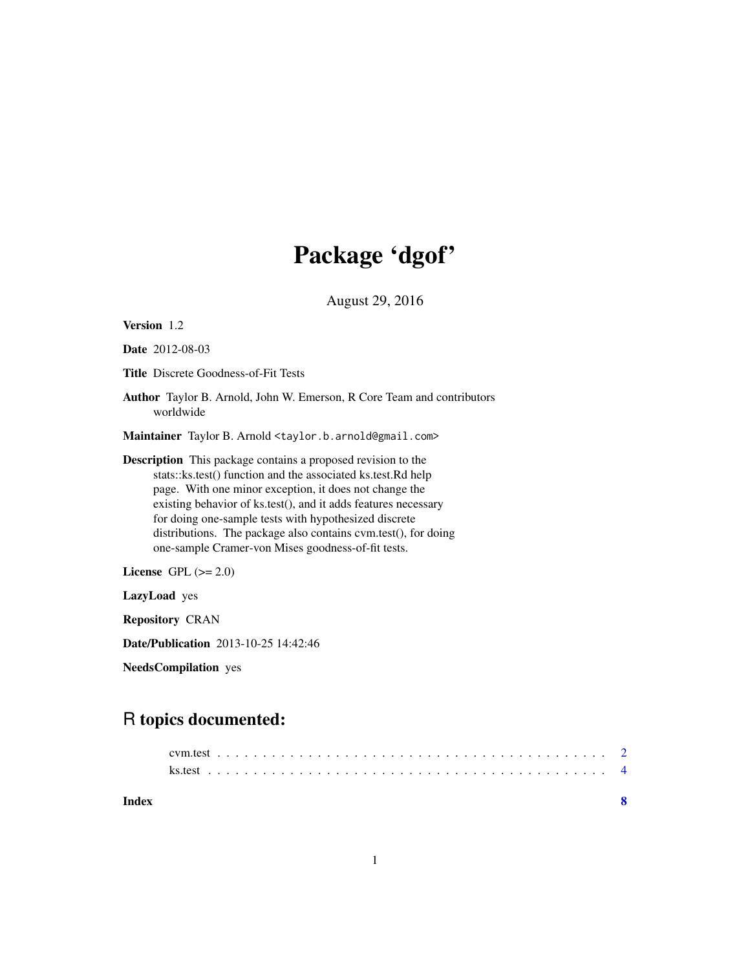# Package 'dgof'

August 29, 2016

<span id="page-0-0"></span>

| Version 1.2                                                                                                                                                                                                                                                                                                                                                                                                                                      |  |  |  |  |  |  |  |
|--------------------------------------------------------------------------------------------------------------------------------------------------------------------------------------------------------------------------------------------------------------------------------------------------------------------------------------------------------------------------------------------------------------------------------------------------|--|--|--|--|--|--|--|
| <b>Date</b> 2012-08-03                                                                                                                                                                                                                                                                                                                                                                                                                           |  |  |  |  |  |  |  |
| <b>Title</b> Discrete Goodness-of-Fit Tests                                                                                                                                                                                                                                                                                                                                                                                                      |  |  |  |  |  |  |  |
| <b>Author</b> Taylor B. Arnold, John W. Emerson, R Core Team and contributors<br>worldwide                                                                                                                                                                                                                                                                                                                                                       |  |  |  |  |  |  |  |
| Maintainer Taylor B. Arnold <taylor.b.arnold@gmail.com></taylor.b.arnold@gmail.com>                                                                                                                                                                                                                                                                                                                                                              |  |  |  |  |  |  |  |
| <b>Description</b> This package contains a proposed revision to the<br>stats::ks.test() function and the associated ks.test.Rd help<br>page. With one minor exception, it does not change the<br>existing behavior of ks.test(), and it adds features necessary<br>for doing one-sample tests with hypothesized discrete<br>distributions. The package also contains cvm.test(), for doing<br>one-sample Cramer-von Mises goodness-of-fit tests. |  |  |  |  |  |  |  |
| License GPL $(>= 2.0)$                                                                                                                                                                                                                                                                                                                                                                                                                           |  |  |  |  |  |  |  |
| LazyLoad yes                                                                                                                                                                                                                                                                                                                                                                                                                                     |  |  |  |  |  |  |  |
| <b>Repository CRAN</b>                                                                                                                                                                                                                                                                                                                                                                                                                           |  |  |  |  |  |  |  |
| <b>Date/Publication</b> 2013-10-25 14:42:46                                                                                                                                                                                                                                                                                                                                                                                                      |  |  |  |  |  |  |  |

NeedsCompilation yes

# R topics documented:

| Index |  |  |  |  |  |  |  |  |  |  |  |  |  |  |  |  |  |  |  |  |  |  |
|-------|--|--|--|--|--|--|--|--|--|--|--|--|--|--|--|--|--|--|--|--|--|--|
|       |  |  |  |  |  |  |  |  |  |  |  |  |  |  |  |  |  |  |  |  |  |  |
|       |  |  |  |  |  |  |  |  |  |  |  |  |  |  |  |  |  |  |  |  |  |  |
|       |  |  |  |  |  |  |  |  |  |  |  |  |  |  |  |  |  |  |  |  |  |  |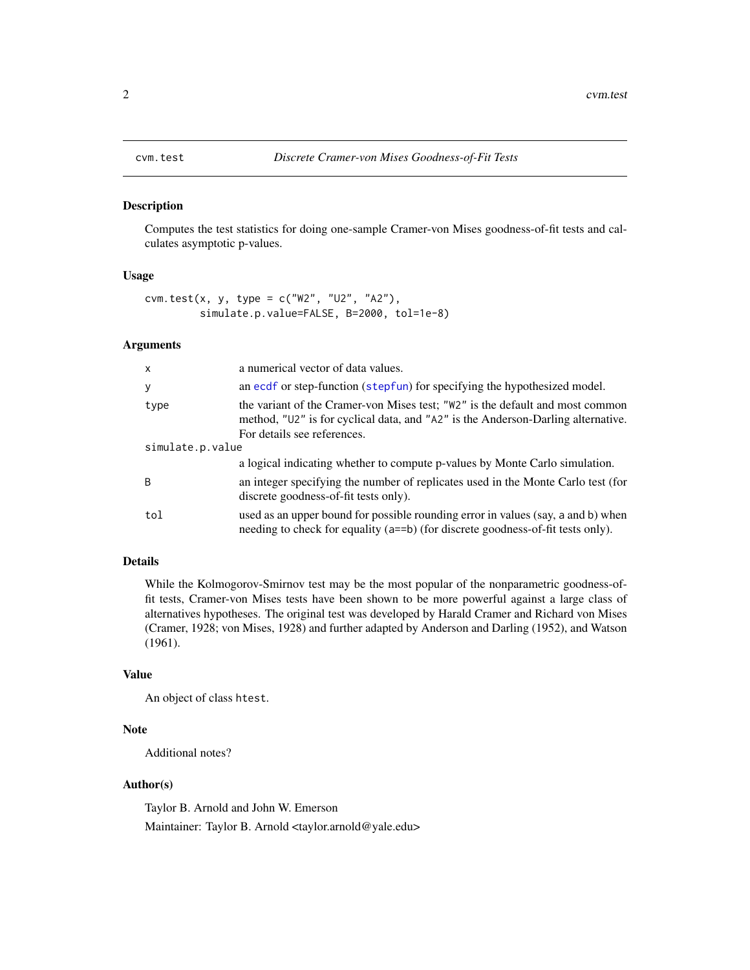## <span id="page-1-1"></span><span id="page-1-0"></span>Description

Computes the test statistics for doing one-sample Cramer-von Mises goodness-of-fit tests and calculates asymptotic p-values.

# Usage

```
cvm.test(x, y, type = c("W2", "U2", "A2"),simulate.p.value=FALSE, B=2000, tol=1e-8)
```
## Arguments

| $\mathsf{x}$     | a numerical vector of data values.                                                                                                                                                               |  |  |  |  |  |  |
|------------------|--------------------------------------------------------------------------------------------------------------------------------------------------------------------------------------------------|--|--|--|--|--|--|
| У                | an ecdf or step-function (stepfun) for specifying the hypothesized model.                                                                                                                        |  |  |  |  |  |  |
| type             | the variant of the Cramer-von Mises test; "W2" is the default and most common<br>method, "U2" is for cyclical data, and "A2" is the Anderson-Darling alternative.<br>For details see references. |  |  |  |  |  |  |
| simulate.p.value |                                                                                                                                                                                                  |  |  |  |  |  |  |
|                  | a logical indicating whether to compute p-values by Monte Carlo simulation.                                                                                                                      |  |  |  |  |  |  |
| <sup>B</sup>     | an integer specifying the number of replicates used in the Monte Carlo test (for<br>discrete goodness-of-fit tests only).                                                                        |  |  |  |  |  |  |
| tol              | used as an upper bound for possible rounding error in values (say, a and b) when<br>needing to check for equality (a==b) (for discrete goodness-of-fit tests only).                              |  |  |  |  |  |  |

# Details

While the Kolmogorov-Smirnov test may be the most popular of the nonparametric goodness-offit tests, Cramer-von Mises tests have been shown to be more powerful against a large class of alternatives hypotheses. The original test was developed by Harald Cramer and Richard von Mises (Cramer, 1928; von Mises, 1928) and further adapted by Anderson and Darling (1952), and Watson (1961).

## Value

An object of class htest.

### Note

Additional notes?

# Author(s)

Taylor B. Arnold and John W. Emerson Maintainer: Taylor B. Arnold <taylor.arnold@yale.edu>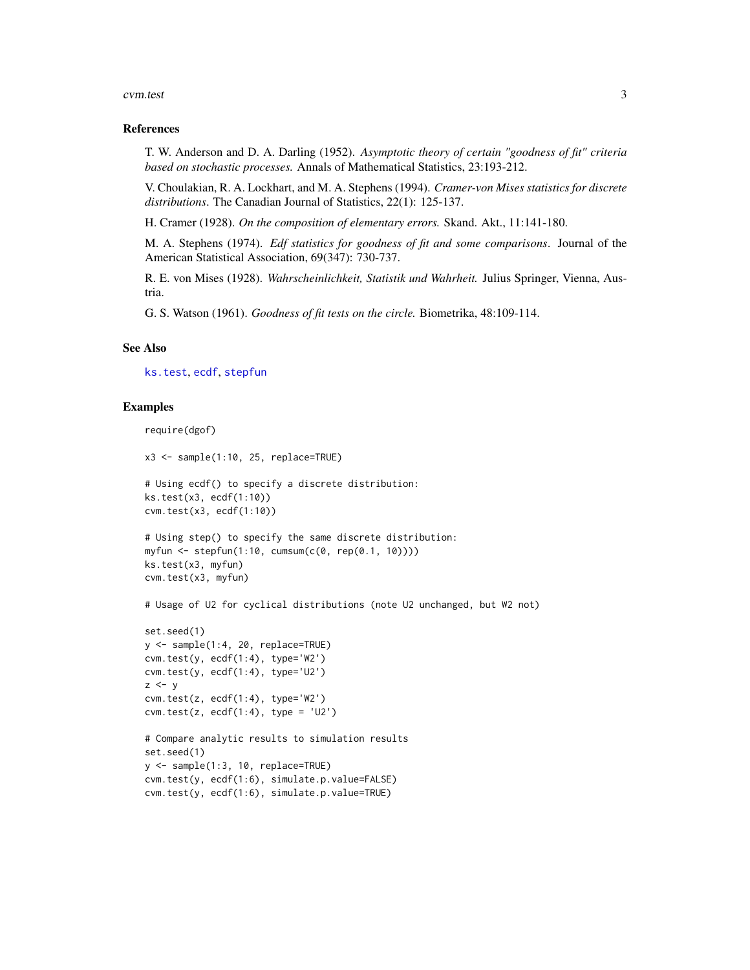### <span id="page-2-0"></span>cvm.test 3

# References

T. W. Anderson and D. A. Darling (1952). *Asymptotic theory of certain "goodness of fit" criteria based on stochastic processes.* Annals of Mathematical Statistics, 23:193-212.

V. Choulakian, R. A. Lockhart, and M. A. Stephens (1994). *Cramer-von Mises statistics for discrete distributions*. The Canadian Journal of Statistics, 22(1): 125-137.

H. Cramer (1928). *On the composition of elementary errors.* Skand. Akt., 11:141-180.

M. A. Stephens (1974). *Edf statistics for goodness of fit and some comparisons*. Journal of the American Statistical Association, 69(347): 730-737.

R. E. von Mises (1928). *Wahrscheinlichkeit, Statistik und Wahrheit.* Julius Springer, Vienna, Austria.

G. S. Watson (1961). *Goodness of fit tests on the circle.* Biometrika, 48:109-114.

# See Also

[ks.test](#page-3-1), [ecdf](#page-0-0), [stepfun](#page-0-0)

# Examples

```
require(dgof)
x3 \leq - sample(1:10, 25, replace=TRUE)
# Using ecdf() to specify a discrete distribution:
ks.test(x3, ecdf(1:10))
cvm.test(x3, ecdf(1:10))
# Using step() to specify the same discrete distribution:
```

```
myfun <- stepfun(1:10, cumsum(c(0, rep(0.1, 10))))
ks.test(x3, myfun)
cvm.test(x3, myfun)
```
# Usage of U2 for cyclical distributions (note U2 unchanged, but W2 not)

```
set.seed(1)
y <- sample(1:4, 20, replace=TRUE)
cvm.test(y, ecdf(1:4), type='W2')
cvm.test(y, ecdf(1:4), type='U2')
z \le ycvm.test(z, ecdf(1:4), type='W2')
cvm.test(z, ecdf(1:4), type = 'U2')
```

```
# Compare analytic results to simulation results
set.seed(1)
y <- sample(1:3, 10, replace=TRUE)
cvm.test(y, ecdf(1:6), simulate.p.value=FALSE)
cvm.test(y, ecdf(1:6), simulate.p.value=TRUE)
```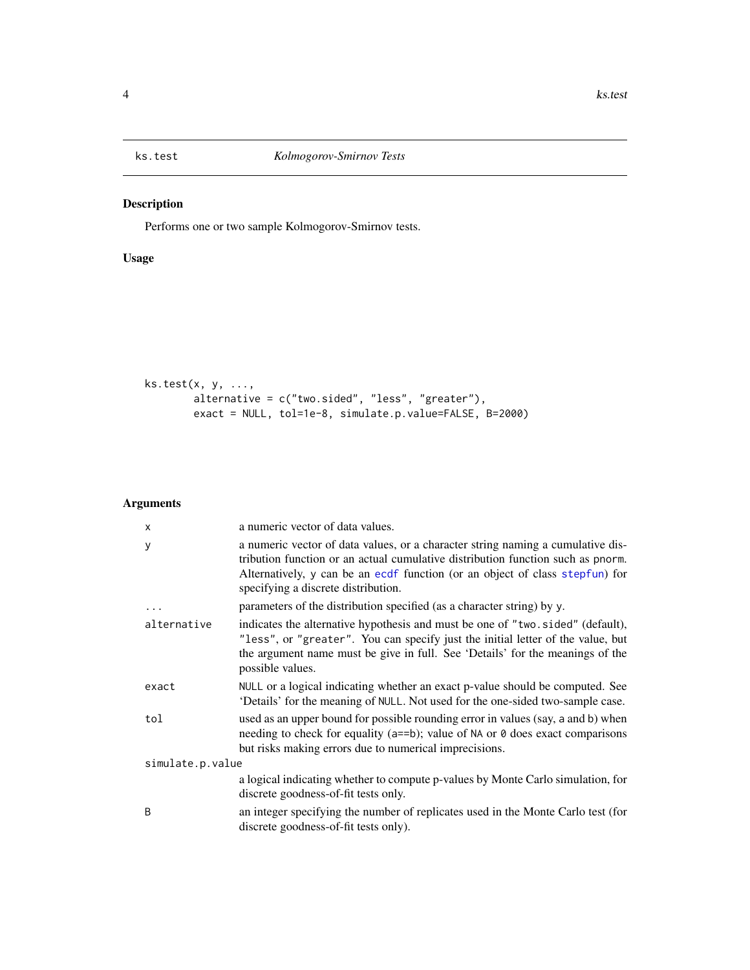<span id="page-3-1"></span><span id="page-3-0"></span>

# Description

Performs one or two sample Kolmogorov-Smirnov tests.

# Usage

```
ks.test(x, y, ...,
        alternative = c("two.sided", "less", "greater"),
        exact = NULL, tol=1e-8, simulate.p.value=FALSE, B=2000)
```
# Arguments

| X                | a numeric vector of data values.                                                                                                                                                                                                                                                          |  |  |  |  |  |  |  |
|------------------|-------------------------------------------------------------------------------------------------------------------------------------------------------------------------------------------------------------------------------------------------------------------------------------------|--|--|--|--|--|--|--|
| у                | a numeric vector of data values, or a character string naming a cumulative dis-<br>tribution function or an actual cumulative distribution function such as pnorm.<br>Alternatively, y can be an ecdf function (or an object of class stepfun) for<br>specifying a discrete distribution. |  |  |  |  |  |  |  |
| $\cdots$         | parameters of the distribution specified (as a character string) by y.                                                                                                                                                                                                                    |  |  |  |  |  |  |  |
| alternative      | indicates the alternative hypothesis and must be one of "two.sided" (default),<br>"less", or "greater". You can specify just the initial letter of the value, but<br>the argument name must be give in full. See 'Details' for the meanings of the<br>possible values.                    |  |  |  |  |  |  |  |
| exact            | NULL or a logical indicating whether an exact p-value should be computed. See<br>'Details' for the meaning of NULL. Not used for the one-sided two-sample case.                                                                                                                           |  |  |  |  |  |  |  |
| tol              | used as an upper bound for possible rounding error in values (say, a and b) when<br>needing to check for equality ( $a == b$ ); value of NA or $\theta$ does exact comparisons<br>but risks making errors due to numerical imprecisions.                                                  |  |  |  |  |  |  |  |
| simulate.p.value |                                                                                                                                                                                                                                                                                           |  |  |  |  |  |  |  |
|                  | a logical indicating whether to compute p-values by Monte Carlo simulation, for<br>discrete goodness-of-fit tests only.                                                                                                                                                                   |  |  |  |  |  |  |  |
| B                | an integer specifying the number of replicates used in the Monte Carlo test (for<br>discrete goodness-of-fit tests only).                                                                                                                                                                 |  |  |  |  |  |  |  |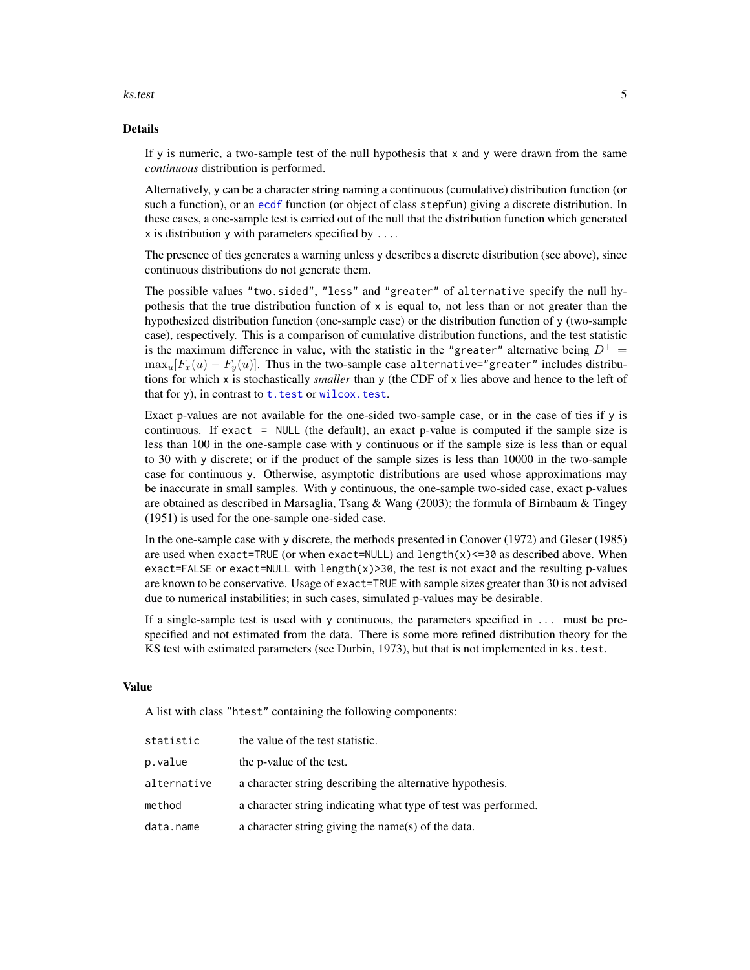### <span id="page-4-0"></span>ks.test 5

# Details

If y is numeric, a two-sample test of the null hypothesis that  $x$  and  $y$  were drawn from the same *continuous* distribution is performed.

Alternatively, y can be a character string naming a continuous (cumulative) distribution function (or such a function), or an [ecdf](#page-0-0) function (or object of class stepfun) giving a discrete distribution. In these cases, a one-sample test is carried out of the null that the distribution function which generated  $x$  is distribution  $y$  with parameters specified by ....

The presence of ties generates a warning unless y describes a discrete distribution (see above), since continuous distributions do not generate them.

The possible values "two.sided", "less" and "greater" of alternative specify the null hypothesis that the true distribution function of  $x$  is equal to, not less than or not greater than the hypothesized distribution function (one-sample case) or the distribution function of y (two-sample case), respectively. This is a comparison of cumulative distribution functions, and the test statistic is the maximum difference in value, with the statistic in the "greater" alternative being  $D^+$  =  $\max_{u} [F_x(u) - F_y(u)]$ . Thus in the two-sample case alternative="greater" includes distributions for which x is stochastically *smaller* than y (the CDF of x lies above and hence to the left of that for y), in contrast to  $t$ . test or wilcox. test.

Exact p-values are not available for the one-sided two-sample case, or in the case of ties if y is continuous. If exact = NULL (the default), an exact p-value is computed if the sample size is less than 100 in the one-sample case with y continuous or if the sample size is less than or equal to 30 with y discrete; or if the product of the sample sizes is less than 10000 in the two-sample case for continuous y. Otherwise, asymptotic distributions are used whose approximations may be inaccurate in small samples. With y continuous, the one-sample two-sided case, exact p-values are obtained as described in Marsaglia, Tsang & Wang (2003); the formula of Birnbaum & Tingey (1951) is used for the one-sample one-sided case.

In the one-sample case with y discrete, the methods presented in Conover (1972) and Gleser (1985) are used when exact=TRUE (or when exact=NULL) and length $(x)$  <=30 as described above. When exact=FALSE or exact=NULL with length $(x)$ >30, the test is not exact and the resulting p-values are known to be conservative. Usage of exact=TRUE with sample sizes greater than 30 is not advised due to numerical instabilities; in such cases, simulated p-values may be desirable.

If a single-sample test is used with y continuous, the parameters specified in ... must be prespecified and not estimated from the data. There is some more refined distribution theory for the KS test with estimated parameters (see Durbin, 1973), but that is not implemented in ks.test.

# Value

A list with class "htest" containing the following components:

| statistic   | the value of the test statistic.                               |
|-------------|----------------------------------------------------------------|
| p.value     | the p-value of the test.                                       |
| alternative | a character string describing the alternative hypothesis.      |
| method      | a character string indicating what type of test was performed. |
| data.name   | a character string giving the name(s) of the data.             |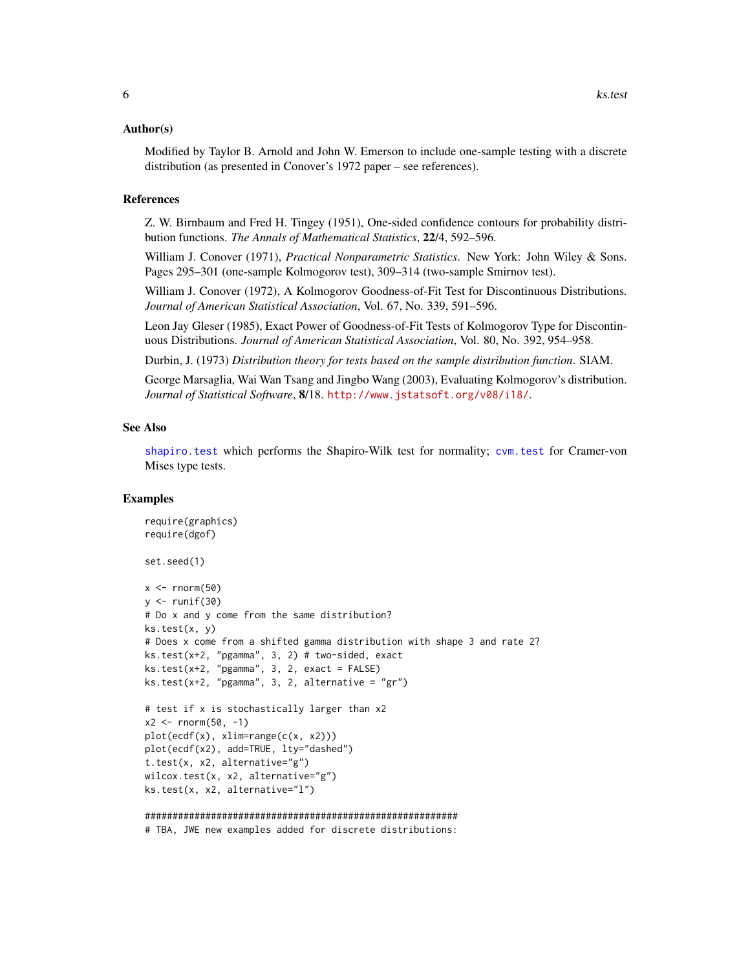# <span id="page-5-0"></span>Author(s)

Modified by Taylor B. Arnold and John W. Emerson to include one-sample testing with a discrete distribution (as presented in Conover's 1972 paper – see references).

# References

Z. W. Birnbaum and Fred H. Tingey (1951), One-sided confidence contours for probability distribution functions. *The Annals of Mathematical Statistics*, 22/4, 592–596.

William J. Conover (1971), *Practical Nonparametric Statistics*. New York: John Wiley & Sons. Pages 295–301 (one-sample Kolmogorov test), 309–314 (two-sample Smirnov test).

William J. Conover (1972), A Kolmogorov Goodness-of-Fit Test for Discontinuous Distributions. *Journal of American Statistical Association*, Vol. 67, No. 339, 591–596.

Leon Jay Gleser (1985), Exact Power of Goodness-of-Fit Tests of Kolmogorov Type for Discontinuous Distributions. *Journal of American Statistical Association*, Vol. 80, No. 392, 954–958.

Durbin, J. (1973) *Distribution theory for tests based on the sample distribution function*. SIAM.

George Marsaglia, Wai Wan Tsang and Jingbo Wang (2003), Evaluating Kolmogorov's distribution. *Journal of Statistical Software*, 8/18. <http://www.jstatsoft.org/v08/i18/>.

# See Also

[shapiro.test](#page-0-0) which performs the Shapiro-Wilk test for normality; [cvm.test](#page-1-1) for Cramer-von Mises type tests.

# Examples

```
require(graphics)
require(dgof)
set.seed(1)
x < - rnorm(50)
y \leftarrow runif(30)# Do x and y come from the same distribution?
ks.test(x, y)
# Does x come from a shifted gamma distribution with shape 3 and rate 2?
ks.test(x+2, "pgamma", 3, 2) # two-sided, exact
ks.test(x+2, "pgamma", 3, 2, exact = FALSE)ks.test(x+2, "pgamma", 3, 2, alternative = "gr")# test if x is stochastically larger than x2
x2 \le rnorm(50, -1)
plot(ecdf(x), xlim=range(c(x, x2)))plot(ecdf(x2), add=TRUE, lty="dashed")
t.test(x, x2, alternative="g")
wilcox.test(x, x2, alternative="g")
ks.test(x, x2, alternative="l")
#########################################################
# TBA, JWE new examples added for discrete distributions:
```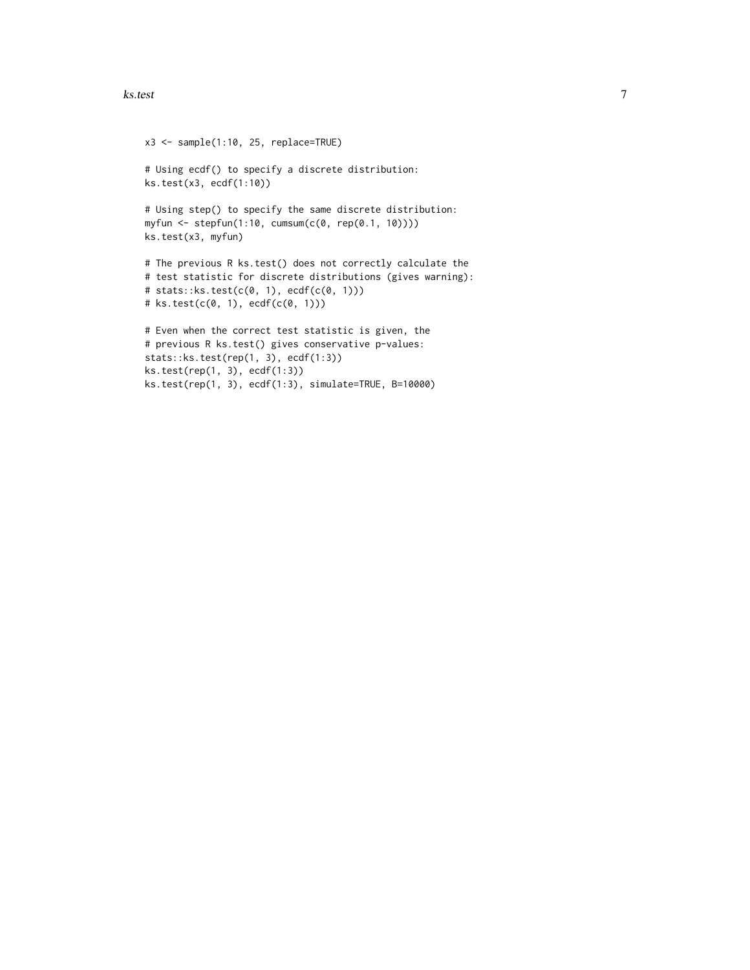### ks.test 7

```
x3 <- sample(1:10, 25, replace=TRUE)
# Using ecdf() to specify a discrete distribution:
ks.test(x3, ecdf(1:10))
# Using step() to specify the same discrete distribution:
myfun <- stepfun(1:10, cumsum(c(0, rep(0.1, 10))))
ks.test(x3, myfun)
# The previous R ks.test() does not correctly calculate the
# test statistic for discrete distributions (gives warning):
# stats::ks.test(c(0, 1), ecdf(c(0, 1)))
# ks.test(c(0, 1), ecdf(c(0, 1)))
# Even when the correct test statistic is given, the
# previous R ks.test() gives conservative p-values:
stats::ks.test(rep(1, 3), ecdf(1:3))
ks.test(rep(1, 3), ecdf(1:3))
ks.test(rep(1, 3), ecdf(1:3), simulate=TRUE, B=10000)
```